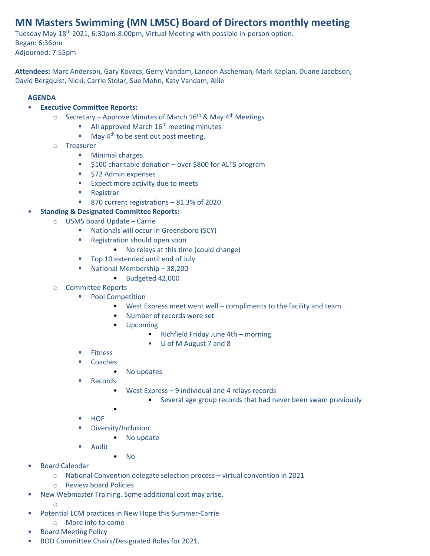## **MN Masters Swimming (MN LMSC) Board of Directors monthly meeting**

Tuesday May 18th 2021, 6:30pm-8:00pm, Virtual Meeting with possible in-person option. Began: 6:36pm Adjourned: 7:55pm

**Attendees:** Marc Anderson, Gary Kovacs, Gerry Vandam, Landon Ascheman, Mark Kaplan, Duane Jacobson, David Bergquist, Nicki, Carrie Stolar, Sue Mohn, Katy Vandam, Allie

## **AGENDA**

- **Executive Committee Reports:**
	- $\circ$  Secretary Approve Minutes of March 16<sup>th</sup> & May 4<sup>th</sup> Meetings
		- $\blacksquare$  All approved March 16<sup>th</sup> meeting minutes
		- $\blacksquare$  May 4<sup>th</sup> to be sent out post meeting.
	- o Treasurer
		- Minimal charges
		- \$100 charitable donation over \$800 for ALTS program
		- \$72 Admin expenses
		- Expect more activity due to meets
		- Registrar
		- 870 current registrations 81.3% of 2020

## • **Standing & Designated Committee Reports:**

- o USMS Board Update Carrie
	- Nationals will occur in Greensboro (SCY)
	- Registration should open soon
		- No relays at this time (could change)
	- Top 10 extended until end of July
	- National Membership 38,200
		- Budgeted 42,000
- o Committee Reports
	- Pool Competition
		- West Express meet went well compliments to the facility and team
		- Number of records were set
		- Upcoming
			- Richfield Friday June 4th morning
			- U of M August 7 and 8
	- Fitness
	- Coaches
		- No updates
	- Records
		- West Express 9 individual and 4 relays records
			- Several age group records that had never been swam previously
		- •
	- **HOF**
	- Diversity/Inclusion
		- No update
	- Audit
		- No
- Board Calendar
	- o National Convention delegate selection process virtual convention in 2021
	- o Review board Policies
- New Webmaster Training. Some additional cost may arise.
	- o
- Potential LCM practices in New Hope this Summer-Carrie
	- o More info to come
- Board Meeting Policy
- BOD Committee Chairs/Designated Roles for 2021.